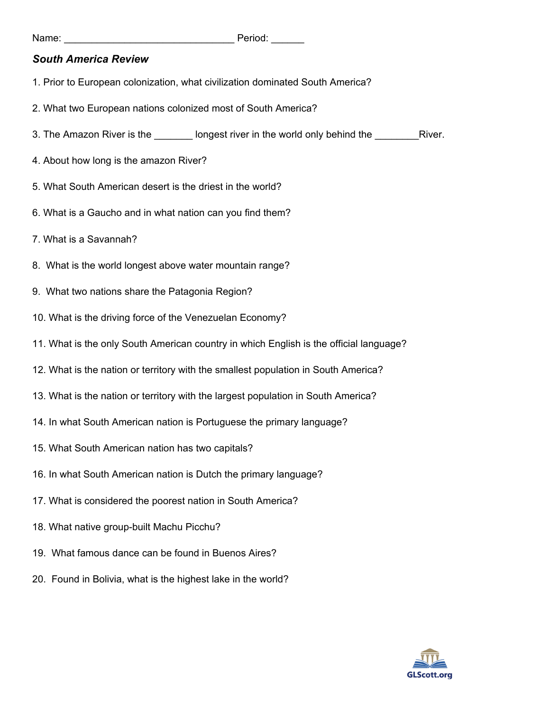## *South America Review*

- 1. Prior to European colonization, what civilization dominated South America?
- 2. What two European nations colonized most of South America?
- 3. The Amazon River is the \_\_\_\_\_\_\_ longest river in the world only behind the \_\_\_\_\_\_\_\_River.
- 4. About how long is the amazon River?
- 5. What South American desert is the driest in the world?
- 6. What is a Gaucho and in what nation can you find them?
- 7. What is a Savannah?
- 8. What is the world longest above water mountain range?
- 9. What two nations share the Patagonia Region?
- 10. What is the driving force of the Venezuelan Economy?
- 11. What is the only South American country in which English is the official language?
- 12. What is the nation or territory with the smallest population in South America?
- 13. What is the nation or territory with the largest population in South America?
- 14. In what South American nation is Portuguese the primary language?
- 15. What South American nation has two capitals?
- 16. In what South American nation is Dutch the primary language?
- 17. What is considered the poorest nation in South America?
- 18. What native group-built Machu Picchu?
- 19. What famous dance can be found in Buenos Aires?
- 20. Found in Bolivia, what is the highest lake in the world?